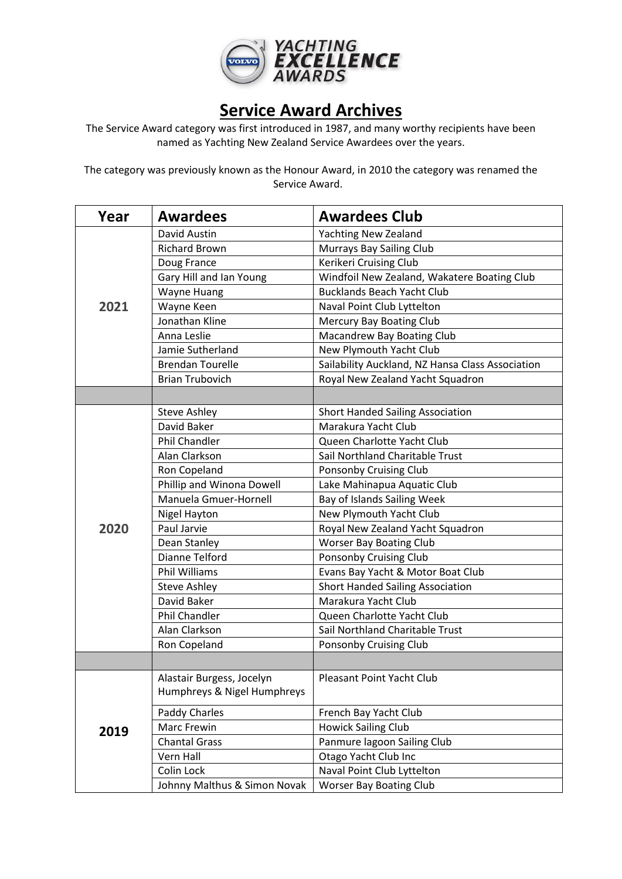

## **Service Award Archives**

The Service Award category was first introduced in 1987, and many worthy recipients have been named as Yachting New Zealand Service Awardees over the years.

The category was previously known as the Honour Award, in 2010 the category was renamed the Service Award.

| Year | <b>Awardees</b>              | <b>Awardees Club</b>                             |
|------|------------------------------|--------------------------------------------------|
|      | David Austin                 | <b>Yachting New Zealand</b>                      |
|      | <b>Richard Brown</b>         | <b>Murrays Bay Sailing Club</b>                  |
|      | Doug France                  | Kerikeri Cruising Club                           |
|      | Gary Hill and Ian Young      | Windfoil New Zealand, Wakatere Boating Club      |
|      | <b>Wayne Huang</b>           | <b>Bucklands Beach Yacht Club</b>                |
| 2021 | Wayne Keen                   | Naval Point Club Lyttelton                       |
|      | Jonathan Kline               | Mercury Bay Boating Club                         |
|      | Anna Leslie                  | Macandrew Bay Boating Club                       |
|      | Jamie Sutherland             | New Plymouth Yacht Club                          |
|      | <b>Brendan Tourelle</b>      | Sailability Auckland, NZ Hansa Class Association |
|      | <b>Brian Trubovich</b>       | Royal New Zealand Yacht Squadron                 |
|      |                              |                                                  |
|      | <b>Steve Ashley</b>          | <b>Short Handed Sailing Association</b>          |
|      | David Baker                  | Marakura Yacht Club                              |
|      | Phil Chandler                | Queen Charlotte Yacht Club                       |
|      | Alan Clarkson                | Sail Northland Charitable Trust                  |
|      | Ron Copeland                 | Ponsonby Cruising Club                           |
|      | Phillip and Winona Dowell    | Lake Mahinapua Aquatic Club                      |
|      | Manuela Gmuer-Hornell        | Bay of Islands Sailing Week                      |
|      | Nigel Hayton                 | New Plymouth Yacht Club                          |
| 2020 | Paul Jarvie                  | Royal New Zealand Yacht Squadron                 |
|      | Dean Stanley                 | <b>Worser Bay Boating Club</b>                   |
|      | Dianne Telford               | Ponsonby Cruising Club                           |
|      | <b>Phil Williams</b>         | Evans Bay Yacht & Motor Boat Club                |
|      | <b>Steve Ashley</b>          | <b>Short Handed Sailing Association</b>          |
|      | David Baker                  | Marakura Yacht Club                              |
|      | Phil Chandler                | Queen Charlotte Yacht Club                       |
|      | Alan Clarkson                | Sail Northland Charitable Trust                  |
|      | Ron Copeland                 | Ponsonby Cruising Club                           |
|      |                              |                                                  |
|      | Alastair Burgess, Jocelyn    | Pleasant Point Yacht Club                        |
|      | Humphreys & Nigel Humphreys  |                                                  |
|      | Paddy Charles                | French Bay Yacht Club                            |
|      | Marc Frewin                  | <b>Howick Sailing Club</b>                       |
| 2019 | <b>Chantal Grass</b>         | Panmure lagoon Sailing Club                      |
|      | Vern Hall                    | Otago Yacht Club Inc                             |
|      | Colin Lock                   | Naval Point Club Lyttelton                       |
|      | Johnny Malthus & Simon Novak | <b>Worser Bay Boating Club</b>                   |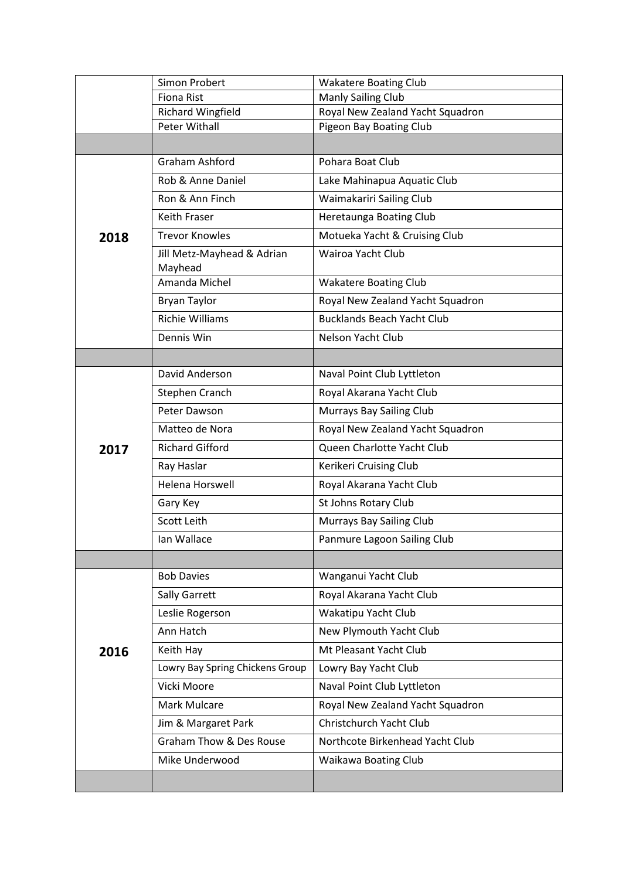|      | Simon Probert                         | <b>Wakatere Boating Club</b>      |
|------|---------------------------------------|-----------------------------------|
|      | <b>Fiona Rist</b>                     | Manly Sailing Club                |
|      | <b>Richard Wingfield</b>              | Royal New Zealand Yacht Squadron  |
|      | <b>Peter Withall</b>                  | Pigeon Bay Boating Club           |
|      |                                       |                                   |
|      | Graham Ashford                        | Pohara Boat Club                  |
|      | Rob & Anne Daniel                     | Lake Mahinapua Aquatic Club       |
|      | Ron & Ann Finch                       | Waimakariri Sailing Club          |
|      | <b>Keith Fraser</b>                   | Heretaunga Boating Club           |
| 2018 | <b>Trevor Knowles</b>                 | Motueka Yacht & Cruising Club     |
|      | Jill Metz-Mayhead & Adrian<br>Mayhead | Wairoa Yacht Club                 |
|      | Amanda Michel                         | <b>Wakatere Boating Club</b>      |
|      | <b>Bryan Taylor</b>                   | Royal New Zealand Yacht Squadron  |
|      | <b>Richie Williams</b>                | <b>Bucklands Beach Yacht Club</b> |
|      | Dennis Win                            | Nelson Yacht Club                 |
|      |                                       |                                   |
|      | David Anderson                        | Naval Point Club Lyttleton        |
|      | Stephen Cranch                        | Royal Akarana Yacht Club          |
|      | Peter Dawson                          | <b>Murrays Bay Sailing Club</b>   |
|      | Matteo de Nora                        | Royal New Zealand Yacht Squadron  |
| 2017 | <b>Richard Gifford</b>                | Queen Charlotte Yacht Club        |
|      | Ray Haslar                            | Kerikeri Cruising Club            |
|      | <b>Helena Horswell</b>                | Royal Akarana Yacht Club          |
|      | Gary Key                              | St Johns Rotary Club              |
|      | Scott Leith                           | <b>Murrays Bay Sailing Club</b>   |
|      | Ian Wallace                           | Panmure Lagoon Sailing Club       |
|      |                                       |                                   |
|      | <b>Bob Davies</b>                     | Wanganui Yacht Club               |
|      | Sally Garrett                         | Royal Akarana Yacht Club          |
|      | Leslie Rogerson                       | Wakatipu Yacht Club               |
|      | Ann Hatch                             | New Plymouth Yacht Club           |
| 2016 | Keith Hay                             | Mt Pleasant Yacht Club            |
|      | Lowry Bay Spring Chickens Group       | Lowry Bay Yacht Club              |
|      | Vicki Moore                           | Naval Point Club Lyttleton        |
|      | Mark Mulcare                          | Royal New Zealand Yacht Squadron  |
|      | Jim & Margaret Park                   | Christchurch Yacht Club           |
|      | Graham Thow & Des Rouse               | Northcote Birkenhead Yacht Club   |
|      | Mike Underwood                        | Waikawa Boating Club              |
|      |                                       |                                   |
|      |                                       |                                   |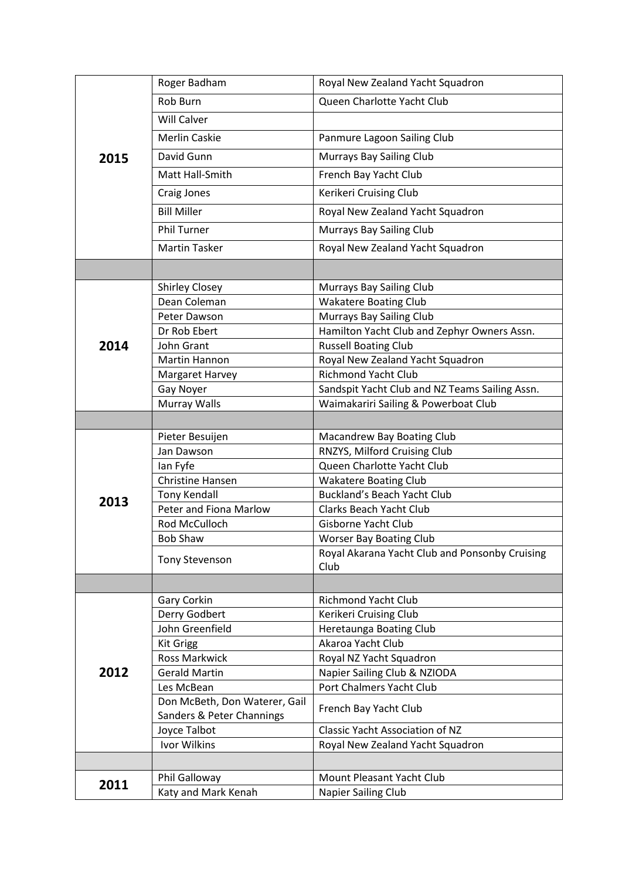|      | Roger Badham                  | Royal New Zealand Yacht Squadron                       |
|------|-------------------------------|--------------------------------------------------------|
|      | Rob Burn                      | Queen Charlotte Yacht Club                             |
|      | <b>Will Calver</b>            |                                                        |
|      | <b>Merlin Caskie</b>          | Panmure Lagoon Sailing Club                            |
| 2015 | David Gunn                    | <b>Murrays Bay Sailing Club</b>                        |
|      | Matt Hall-Smith               | French Bay Yacht Club                                  |
|      |                               |                                                        |
|      | Craig Jones                   | Kerikeri Cruising Club                                 |
|      | <b>Bill Miller</b>            | Royal New Zealand Yacht Squadron                       |
|      | <b>Phil Turner</b>            | <b>Murrays Bay Sailing Club</b>                        |
|      | <b>Martin Tasker</b>          | Royal New Zealand Yacht Squadron                       |
|      |                               |                                                        |
|      | <b>Shirley Closey</b>         | Murrays Bay Sailing Club                               |
|      | Dean Coleman                  | <b>Wakatere Boating Club</b>                           |
|      | Peter Dawson                  | Murrays Bay Sailing Club                               |
|      | Dr Rob Ebert                  | Hamilton Yacht Club and Zephyr Owners Assn.            |
| 2014 | John Grant                    | <b>Russell Boating Club</b>                            |
|      | Martin Hannon                 | Royal New Zealand Yacht Squadron                       |
|      | Margaret Harvey               | <b>Richmond Yacht Club</b>                             |
|      | Gay Noyer                     | Sandspit Yacht Club and NZ Teams Sailing Assn.         |
|      | <b>Murray Walls</b>           | Waimakariri Sailing & Powerboat Club                   |
|      |                               |                                                        |
|      | Pieter Besuijen               | Macandrew Bay Boating Club                             |
|      | Jan Dawson                    | RNZYS, Milford Cruising Club                           |
|      | lan Fyfe                      | Queen Charlotte Yacht Club                             |
|      | <b>Christine Hansen</b>       | <b>Wakatere Boating Club</b>                           |
| 2013 | <b>Tony Kendall</b>           | Buckland's Beach Yacht Club                            |
|      | Peter and Fiona Marlow        | <b>Clarks Beach Yacht Club</b>                         |
|      | Rod McCulloch                 | Gisborne Yacht Club                                    |
|      | <b>Bob Shaw</b>               | <b>Worser Bay Boating Club</b>                         |
|      | <b>Tony Stevenson</b>         | Royal Akarana Yacht Club and Ponsonby Cruising<br>Club |
|      |                               |                                                        |
|      | Gary Corkin                   | <b>Richmond Yacht Club</b>                             |
|      | Derry Godbert                 | Kerikeri Cruising Club                                 |
|      | John Greenfield               | Heretaunga Boating Club                                |
|      | <b>Kit Grigg</b>              | Akaroa Yacht Club                                      |
|      | <b>Ross Markwick</b>          | Royal NZ Yacht Squadron                                |
| 2012 | <b>Gerald Martin</b>          | Napier Sailing Club & NZIODA                           |
|      | Les McBean                    | Port Chalmers Yacht Club                               |
|      | Don McBeth, Don Waterer, Gail | French Bay Yacht Club                                  |
|      | Sanders & Peter Channings     |                                                        |
|      | Joyce Talbot                  | <b>Classic Yacht Association of NZ</b>                 |
|      | Ivor Wilkins                  | Royal New Zealand Yacht Squadron                       |
|      |                               |                                                        |
| 2011 | Phil Galloway                 | Mount Pleasant Yacht Club                              |
|      | Katy and Mark Kenah           | Napier Sailing Club                                    |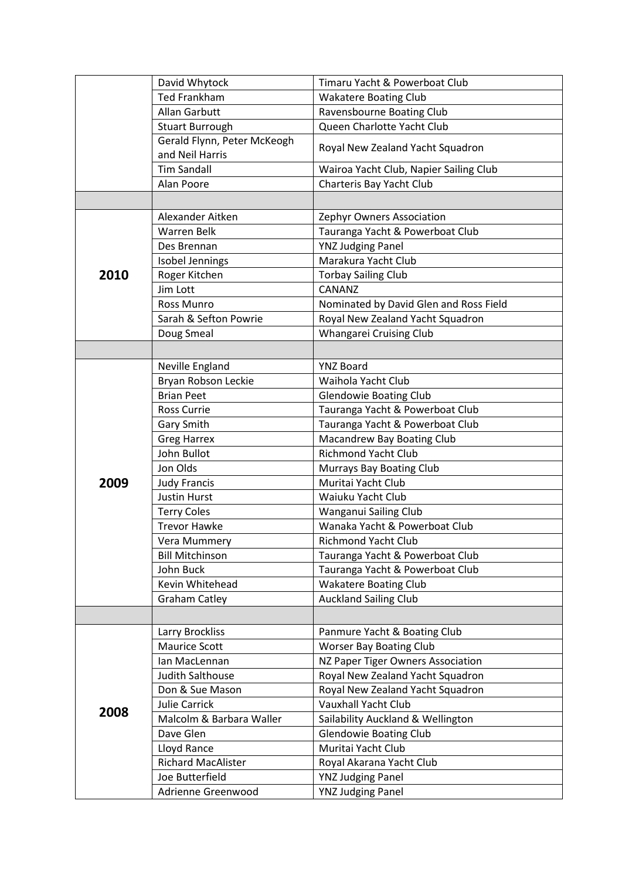|      | David Whytock                                  | Timaru Yacht & Powerboat Club          |
|------|------------------------------------------------|----------------------------------------|
|      | <b>Ted Frankham</b>                            | <b>Wakatere Boating Club</b>           |
|      | <b>Allan Garbutt</b>                           | Ravensbourne Boating Club              |
|      | <b>Stuart Burrough</b>                         | Queen Charlotte Yacht Club             |
|      | Gerald Flynn, Peter McKeogh<br>and Neil Harris | Royal New Zealand Yacht Squadron       |
|      | <b>Tim Sandall</b>                             | Wairoa Yacht Club, Napier Sailing Club |
|      | Alan Poore                                     | Charteris Bay Yacht Club               |
|      |                                                |                                        |
|      | Alexander Aitken                               | Zephyr Owners Association              |
|      | <b>Warren Belk</b>                             | Tauranga Yacht & Powerboat Club        |
|      | Des Brennan                                    | <b>YNZ Judging Panel</b>               |
|      | Isobel Jennings                                | Marakura Yacht Club                    |
| 2010 | Roger Kitchen                                  | <b>Torbay Sailing Club</b>             |
|      | Jim Lott                                       | CANANZ                                 |
|      | Ross Munro                                     | Nominated by David Glen and Ross Field |
|      | Sarah & Sefton Powrie                          | Royal New Zealand Yacht Squadron       |
|      | Doug Smeal                                     | Whangarei Cruising Club                |
|      |                                                |                                        |
|      |                                                |                                        |
|      | Neville England                                | <b>YNZ Board</b>                       |
|      | Bryan Robson Leckie                            | Waihola Yacht Club                     |
|      | <b>Brian Peet</b>                              | <b>Glendowie Boating Club</b>          |
|      | <b>Ross Currie</b>                             | Tauranga Yacht & Powerboat Club        |
|      | Gary Smith                                     | Tauranga Yacht & Powerboat Club        |
|      | <b>Greg Harrex</b>                             | Macandrew Bay Boating Club             |
|      | John Bullot                                    | <b>Richmond Yacht Club</b>             |
|      | Jon Olds                                       | Murrays Bay Boating Club               |
| 2009 | <b>Judy Francis</b>                            | Muritai Yacht Club                     |
|      | <b>Justin Hurst</b>                            | Waiuku Yacht Club                      |
|      | <b>Terry Coles</b>                             | Wanganui Sailing Club                  |
|      | <b>Trevor Hawke</b>                            | Wanaka Yacht & Powerboat Club          |
|      | Vera Mummery                                   | Richmond Yacht Club                    |
|      | <b>Bill Mitchinson</b>                         | Tauranga Yacht & Powerboat Club        |
|      | John Buck                                      | Tauranga Yacht & Powerboat Club        |
|      | Kevin Whitehead                                | <b>Wakatere Boating Club</b>           |
|      | <b>Graham Catley</b>                           | <b>Auckland Sailing Club</b>           |
|      |                                                |                                        |
|      | Larry Brockliss                                | Panmure Yacht & Boating Club           |
|      | <b>Maurice Scott</b>                           | <b>Worser Bay Boating Club</b>         |
|      | Ian MacLennan                                  | NZ Paper Tiger Owners Association      |
|      | Judith Salthouse                               | Royal New Zealand Yacht Squadron       |
|      | Don & Sue Mason                                | Royal New Zealand Yacht Squadron       |
|      | Julie Carrick                                  | <b>Vauxhall Yacht Club</b>             |
| 2008 | Malcolm & Barbara Waller                       | Sailability Auckland & Wellington      |
|      | Dave Glen                                      | <b>Glendowie Boating Club</b>          |
|      | Lloyd Rance                                    | Muritai Yacht Club                     |
|      | <b>Richard MacAlister</b>                      | Royal Akarana Yacht Club               |
|      | Joe Butterfield                                | <b>YNZ Judging Panel</b>               |
|      | Adrienne Greenwood                             | <b>YNZ Judging Panel</b>               |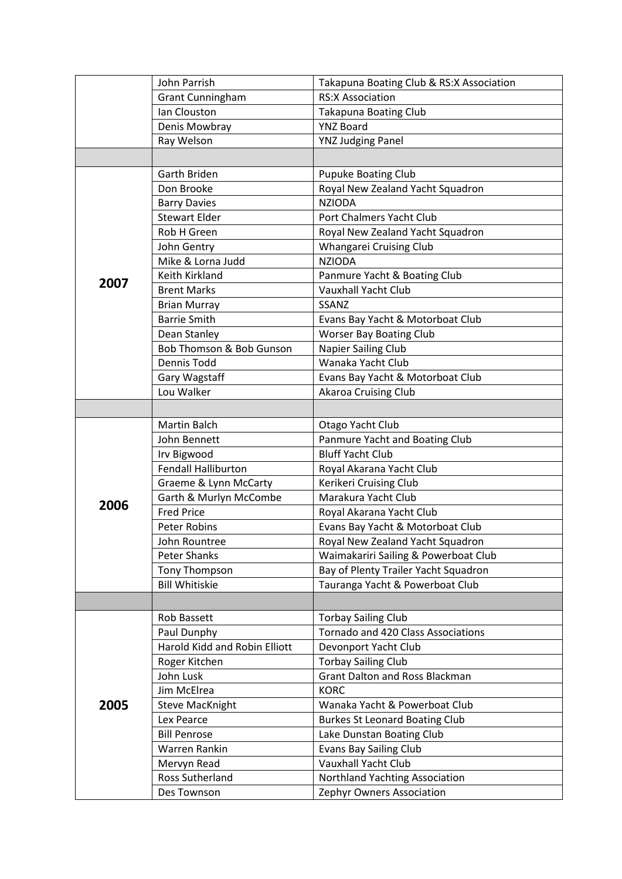|      | John Parrish                  | Takapuna Boating Club & RS:X Association |
|------|-------------------------------|------------------------------------------|
|      | <b>Grant Cunningham</b>       | <b>RS:X Association</b>                  |
|      | Ian Clouston                  | <b>Takapuna Boating Club</b>             |
|      | Denis Mowbray                 | <b>YNZ Board</b>                         |
|      | Ray Welson                    | <b>YNZ Judging Panel</b>                 |
|      |                               |                                          |
|      | Garth Briden                  | <b>Pupuke Boating Club</b>               |
|      | Don Brooke                    | Royal New Zealand Yacht Squadron         |
|      | <b>Barry Davies</b>           | <b>NZIODA</b>                            |
|      | <b>Stewart Elder</b>          | Port Chalmers Yacht Club                 |
|      | Rob H Green                   | Royal New Zealand Yacht Squadron         |
|      | John Gentry                   | Whangarei Cruising Club                  |
|      | Mike & Lorna Judd             | <b>NZIODA</b>                            |
| 2007 | Keith Kirkland                | Panmure Yacht & Boating Club             |
|      | <b>Brent Marks</b>            | <b>Vauxhall Yacht Club</b>               |
|      | <b>Brian Murray</b>           | SSANZ                                    |
|      | <b>Barrie Smith</b>           | Evans Bay Yacht & Motorboat Club         |
|      | Dean Stanley                  | <b>Worser Bay Boating Club</b>           |
|      | Bob Thomson & Bob Gunson      | Napier Sailing Club                      |
|      | Dennis Todd                   | Wanaka Yacht Club                        |
|      | Gary Wagstaff                 | Evans Bay Yacht & Motorboat Club         |
|      | Lou Walker                    | Akaroa Cruising Club                     |
|      |                               |                                          |
|      | Martin Balch                  | Otago Yacht Club                         |
|      | John Bennett                  | Panmure Yacht and Boating Club           |
|      | Irv Bigwood                   | <b>Bluff Yacht Club</b>                  |
|      | <b>Fendall Halliburton</b>    | Royal Akarana Yacht Club                 |
|      | Graeme & Lynn McCarty         | Kerikeri Cruising Club                   |
|      | Garth & Murlyn McCombe        | Marakura Yacht Club                      |
| 2006 | <b>Fred Price</b>             | Royal Akarana Yacht Club                 |
|      | <b>Peter Robins</b>           | Evans Bay Yacht & Motorboat Club         |
|      | John Rountree                 | Royal New Zealand Yacht Squadron         |
|      | <b>Peter Shanks</b>           | Waimakariri Sailing & Powerboat Club     |
|      | Tony Thompson                 | Bay of Plenty Trailer Yacht Squadron     |
|      | <b>Bill Whitiskie</b>         | Tauranga Yacht & Powerboat Club          |
|      |                               |                                          |
|      | Rob Bassett                   | <b>Torbay Sailing Club</b>               |
|      | Paul Dunphy                   | Tornado and 420 Class Associations       |
|      | Harold Kidd and Robin Elliott | Devonport Yacht Club                     |
|      | Roger Kitchen                 | <b>Torbay Sailing Club</b>               |
|      | John Lusk                     | <b>Grant Dalton and Ross Blackman</b>    |
|      | Jim McElrea                   | <b>KORC</b>                              |
| 2005 | <b>Steve MacKnight</b>        | Wanaka Yacht & Powerboat Club            |
|      | Lex Pearce                    | <b>Burkes St Leonard Boating Club</b>    |
|      | <b>Bill Penrose</b>           | Lake Dunstan Boating Club                |
|      | Warren Rankin                 | <b>Evans Bay Sailing Club</b>            |
|      | Mervyn Read                   | Vauxhall Yacht Club                      |
|      | Ross Sutherland               | Northland Yachting Association           |
|      | Des Townson                   | Zephyr Owners Association                |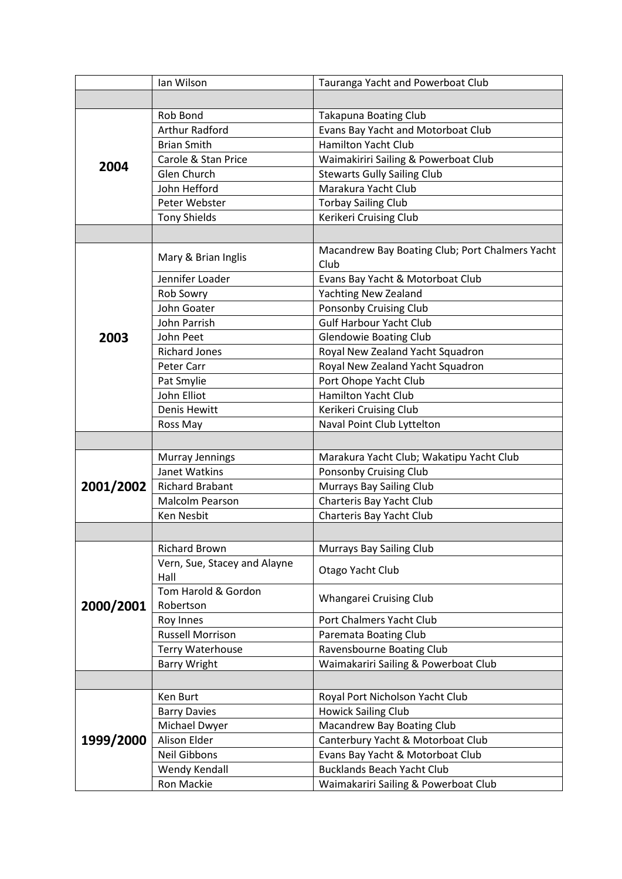|           | Ian Wilson                           | Tauranga Yacht and Powerboat Club                       |
|-----------|--------------------------------------|---------------------------------------------------------|
|           |                                      |                                                         |
|           | Rob Bond                             | <b>Takapuna Boating Club</b>                            |
|           | <b>Arthur Radford</b>                | Evans Bay Yacht and Motorboat Club                      |
|           | <b>Brian Smith</b>                   | <b>Hamilton Yacht Club</b>                              |
|           | Carole & Stan Price                  | Waimakiriri Sailing & Powerboat Club                    |
| 2004      | Glen Church                          | <b>Stewarts Gully Sailing Club</b>                      |
|           | John Hefford                         | Marakura Yacht Club                                     |
|           | Peter Webster                        | <b>Torbay Sailing Club</b>                              |
|           | <b>Tony Shields</b>                  | Kerikeri Cruising Club                                  |
|           |                                      |                                                         |
|           | Mary & Brian Inglis                  | Macandrew Bay Boating Club; Port Chalmers Yacht<br>Club |
|           | Jennifer Loader                      | Evans Bay Yacht & Motorboat Club                        |
|           | Rob Sowry                            | <b>Yachting New Zealand</b>                             |
|           | John Goater                          | Ponsonby Cruising Club                                  |
|           | John Parrish                         | <b>Gulf Harbour Yacht Club</b>                          |
| 2003      | John Peet                            | <b>Glendowie Boating Club</b>                           |
|           | <b>Richard Jones</b>                 | Royal New Zealand Yacht Squadron                        |
|           | Peter Carr                           | Royal New Zealand Yacht Squadron                        |
|           | Pat Smylie                           | Port Ohope Yacht Club                                   |
|           | John Elliot                          | <b>Hamilton Yacht Club</b>                              |
|           | Denis Hewitt                         | Kerikeri Cruising Club                                  |
|           | Ross May                             | Naval Point Club Lyttelton                              |
|           |                                      |                                                         |
|           | Murray Jennings                      | Marakura Yacht Club; Wakatipu Yacht Club                |
|           | Janet Watkins                        | Ponsonby Cruising Club                                  |
| 2001/2002 | <b>Richard Brabant</b>               | <b>Murrays Bay Sailing Club</b>                         |
|           | Malcolm Pearson                      | Charteris Bay Yacht Club                                |
|           | Ken Nesbit                           | Charteris Bay Yacht Club                                |
|           |                                      |                                                         |
|           | <b>Richard Brown</b>                 | Murrays Bay Sailing Club                                |
| 2000/2001 | Vern, Sue, Stacey and Alayne<br>Hall | Otago Yacht Club                                        |
|           | Tom Harold & Gordon<br>Robertson     | Whangarei Cruising Club                                 |
|           | Roy Innes                            | Port Chalmers Yacht Club                                |
|           | <b>Russell Morrison</b>              | Paremata Boating Club                                   |
|           | Terry Waterhouse                     | Ravensbourne Boating Club                               |
|           | <b>Barry Wright</b>                  | Waimakariri Sailing & Powerboat Club                    |
|           |                                      |                                                         |
|           | Ken Burt                             | Royal Port Nicholson Yacht Club                         |
|           | <b>Barry Davies</b>                  | <b>Howick Sailing Club</b>                              |
|           | Michael Dwyer                        | Macandrew Bay Boating Club                              |
| 1999/2000 | Alison Elder                         | Canterbury Yacht & Motorboat Club                       |
|           | Neil Gibbons                         | Evans Bay Yacht & Motorboat Club                        |
|           | Wendy Kendall                        | <b>Bucklands Beach Yacht Club</b>                       |
|           | Ron Mackie                           | Waimakariri Sailing & Powerboat Club                    |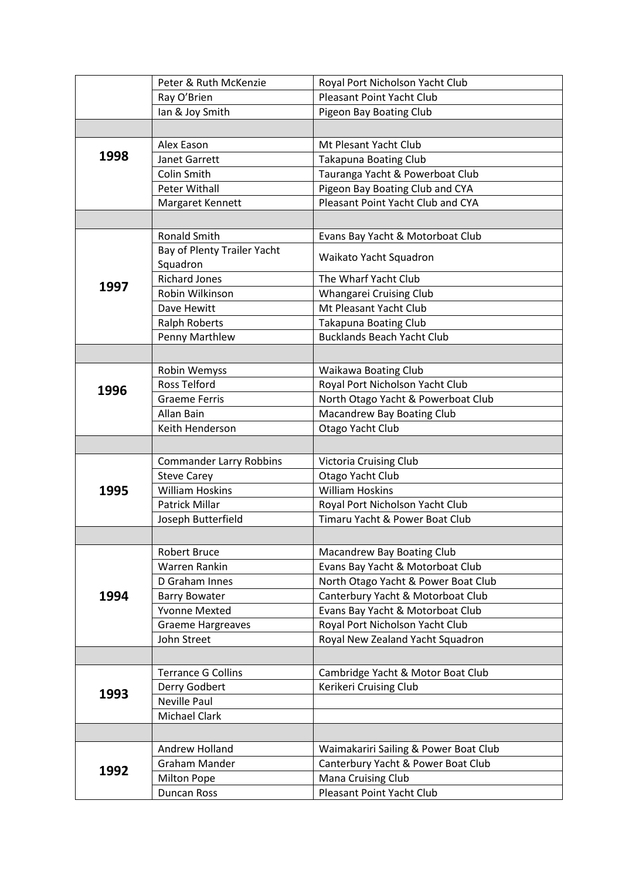|      | Peter & Ruth McKenzie          | Royal Port Nicholson Yacht Club       |
|------|--------------------------------|---------------------------------------|
|      | Ray O'Brien                    | <b>Pleasant Point Yacht Club</b>      |
|      | lan & Joy Smith                | Pigeon Bay Boating Club               |
|      |                                |                                       |
|      | Alex Eason                     | Mt Plesant Yacht Club                 |
| 1998 | Janet Garrett                  | <b>Takapuna Boating Club</b>          |
|      | Colin Smith                    | Tauranga Yacht & Powerboat Club       |
|      | <b>Peter Withall</b>           | Pigeon Bay Boating Club and CYA       |
|      | Margaret Kennett               | Pleasant Point Yacht Club and CYA     |
|      |                                |                                       |
|      | <b>Ronald Smith</b>            | Evans Bay Yacht & Motorboat Club      |
|      | Bay of Plenty Trailer Yacht    |                                       |
|      | Squadron                       | Waikato Yacht Squadron                |
|      | <b>Richard Jones</b>           | The Wharf Yacht Club                  |
| 1997 | Robin Wilkinson                | Whangarei Cruising Club               |
|      | Dave Hewitt                    | Mt Pleasant Yacht Club                |
|      | <b>Ralph Roberts</b>           | <b>Takapuna Boating Club</b>          |
|      | Penny Marthlew                 | <b>Bucklands Beach Yacht Club</b>     |
|      |                                |                                       |
|      | Robin Wemyss                   | Waikawa Boating Club                  |
|      | <b>Ross Telford</b>            | Royal Port Nicholson Yacht Club       |
| 1996 | <b>Graeme Ferris</b>           | North Otago Yacht & Powerboat Club    |
|      | Allan Bain                     | Macandrew Bay Boating Club            |
|      | Keith Henderson                | Otago Yacht Club                      |
|      |                                |                                       |
|      | <b>Commander Larry Robbins</b> | <b>Victoria Cruising Club</b>         |
|      | <b>Steve Carey</b>             | Otago Yacht Club                      |
| 1995 | <b>William Hoskins</b>         | <b>William Hoskins</b>                |
|      | <b>Patrick Millar</b>          | Royal Port Nicholson Yacht Club       |
|      | Joseph Butterfield             | Timaru Yacht & Power Boat Club        |
|      |                                |                                       |
|      | <b>Robert Bruce</b>            | Macandrew Bay Boating Club            |
|      | Warren Rankin                  | Evans Bay Yacht & Motorboat Club      |
|      | D Graham Innes                 | North Otago Yacht & Power Boat Club   |
| 1994 | <b>Barry Bowater</b>           | Canterbury Yacht & Motorboat Club     |
|      | <b>Yvonne Mexted</b>           | Evans Bay Yacht & Motorboat Club      |
|      | <b>Graeme Hargreaves</b>       | Royal Port Nicholson Yacht Club       |
|      | John Street                    | Royal New Zealand Yacht Squadron      |
|      |                                |                                       |
| 1993 | <b>Terrance G Collins</b>      | Cambridge Yacht & Motor Boat Club     |
|      | Derry Godbert                  | Kerikeri Cruising Club                |
|      | Neville Paul                   |                                       |
|      | Michael Clark                  |                                       |
|      |                                |                                       |
|      | Andrew Holland                 | Waimakariri Sailing & Power Boat Club |
|      | <b>Graham Mander</b>           | Canterbury Yacht & Power Boat Club    |
| 1992 | <b>Milton Pope</b>             | Mana Cruising Club                    |
|      | Duncan Ross                    | Pleasant Point Yacht Club             |